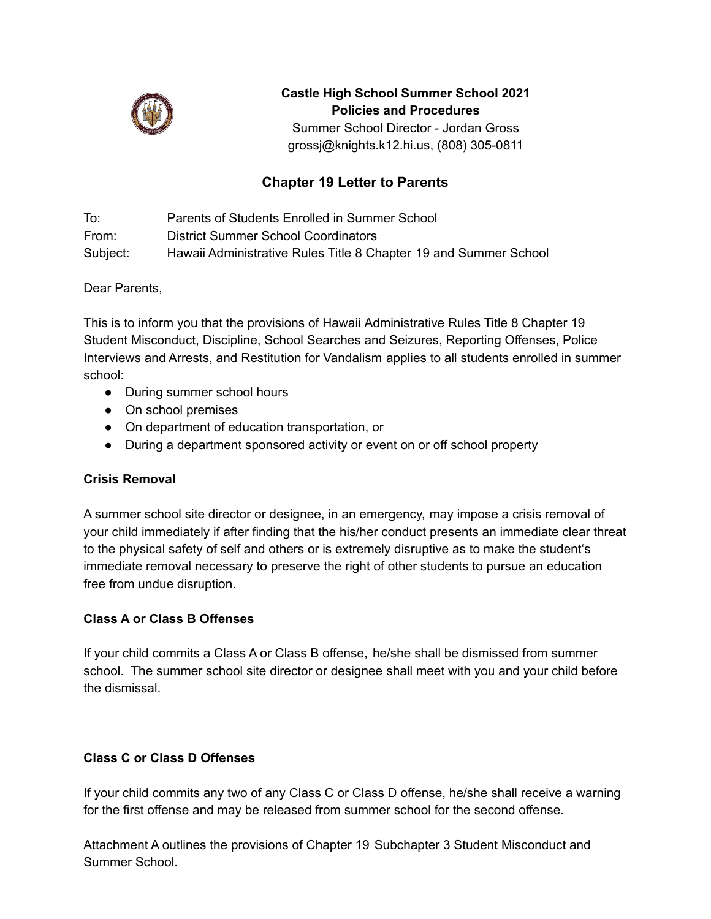

#### **Castle High School Summer School 2021 Policies and Procedures**

Summer School Director - Jordan Gross grossj@knights.k12.hi.us, (808) 305-0811

# **Chapter 19 Letter to Parents**

To: Parents of Students Enrolled in Summer School From: District Summer School Coordinators Subject: Hawaii Administrative Rules Title 8 Chapter 19 and Summer School

Dear Parents,

This is to inform you that the provisions of Hawaii Administrative Rules Title 8 Chapter 19 Student Misconduct, Discipline, School Searches and Seizures, Reporting Offenses, Police Interviews and Arrests, and Restitution for Vandalism applies to all students enrolled in summer school:

- During summer school hours
- On school premises
- On department of education transportation, or
- During a department sponsored activity or event on or off school property

#### **Crisis Removal**

A summer school site director or designee, in an emergency, may impose a crisis removal of your child immediately if after finding that the his/her conduct presents an immediate clear threat to the physical safety of self and others or is extremely disruptive as to make the studentʻs immediate removal necessary to preserve the right of other students to pursue an education free from undue disruption.

#### **Class A or Class B Offenses**

If your child commits a Class A or Class B offense, he/she shall be dismissed from summer school. The summer school site director or designee shall meet with you and your child before the dismissal.

#### **Class C or Class D Offenses**

If your child commits any two of any Class C or Class D offense, he/she shall receive a warning for the first offense and may be released from summer school for the second offense.

Attachment A outlines the provisions of Chapter 19 Subchapter 3 Student Misconduct and Summer School.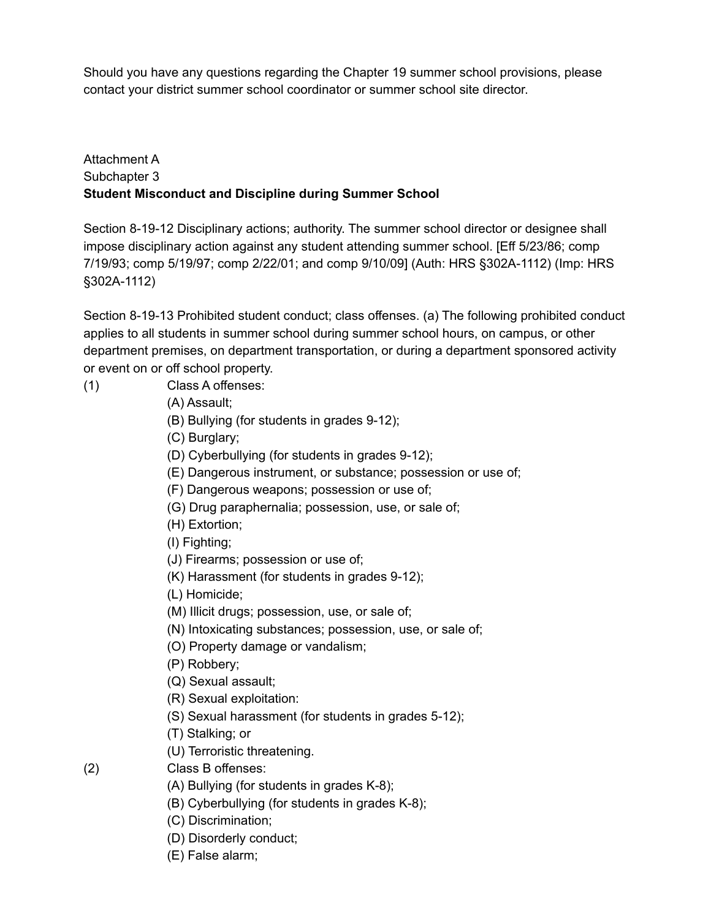Should you have any questions regarding the Chapter 19 summer school provisions, please contact your district summer school coordinator or summer school site director.

### Attachment A Subchapter 3 **Student Misconduct and Discipline during Summer School**

Section 8-19-12 Disciplinary actions; authority. The summer school director or designee shall impose disciplinary action against any student attending summer school. [Eff 5/23/86; comp 7/19/93; comp 5/19/97; comp 2/22/01; and comp 9/10/09] (Auth: HRS §302A-1112) (Imp: HRS §302A-1112)

Section 8-19-13 Prohibited student conduct; class offenses. (a) The following prohibited conduct applies to all students in summer school during summer school hours, on campus, or other department premises, on department transportation, or during a department sponsored activity or event on or off school property.

(1) Class A offenses:

## (A) Assault;

(B) Bullying (for students in grades 9-12);

(C) Burglary;

(D) Cyberbullying (for students in grades 9-12);

(E) Dangerous instrument, or substance; possession or use of;

(F) Dangerous weapons; possession or use of;

(G) Drug paraphernalia; possession, use, or sale of;

(H) Extortion;

(I) Fighting;

(J) Firearms; possession or use of;

(K) Harassment (for students in grades 9-12);

(L) Homicide;

(M) Illicit drugs; possession, use, or sale of;

(N) Intoxicating substances; possession, use, or sale of;

(O) Property damage or vandalism;

(P) Robbery;

(Q) Sexual assault;

(R) Sexual exploitation:

(S) Sexual harassment (for students in grades 5-12);

(T) Stalking; or

(U) Terroristic threatening.

(2) Class B offenses:

(A) Bullying (for students in grades K-8);

(B) Cyberbullying (for students in grades K-8);

(C) Discrimination;

(D) Disorderly conduct;

(E) False alarm;